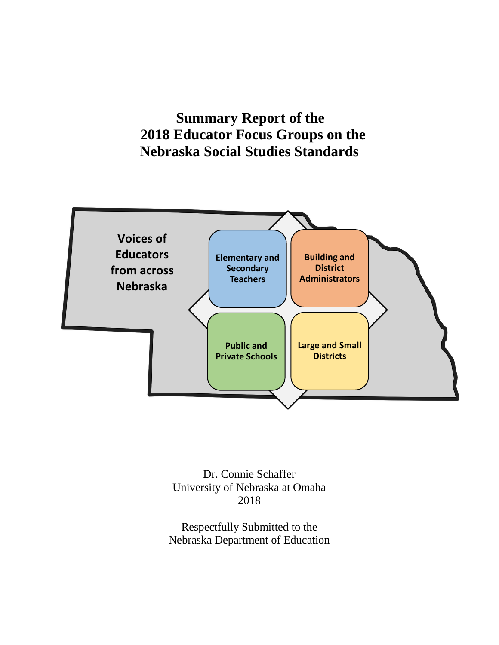**Summary Report of the 2018 Educator Focus Groups on the Nebraska Social Studies Standards** 



Dr. Connie Schaffer University of Nebraska at Omaha 2018

Respectfully Submitted to the Nebraska Department of Education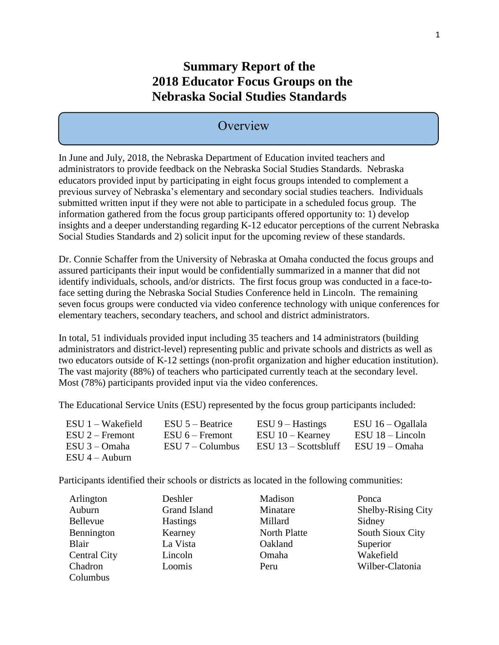## **Summary Report of the 2018 Educator Focus Groups on the Nebraska Social Studies Standards**

### **Overview**

In June and July, 2018, the Nebraska Department of Education invited teachers and administrators to provide feedback on the Nebraska Social Studies Standards. Nebraska educators provided input by participating in eight focus groups intended to complement a previous survey of Nebraska's elementary and secondary social studies teachers. Individuals submitted written input if they were not able to participate in a scheduled focus group. The information gathered from the focus group participants offered opportunity to: 1) develop insights and a deeper understanding regarding K-12 educator perceptions of the current Nebraska Social Studies Standards and 2) solicit input for the upcoming review of these standards.

Dr. Connie Schaffer from the University of Nebraska at Omaha conducted the focus groups and assured participants their input would be confidentially summarized in a manner that did not identify individuals, schools, and/or districts. The first focus group was conducted in a face-toface setting during the Nebraska Social Studies Conference held in Lincoln. The remaining seven focus groups were conducted via video conference technology with unique conferences for elementary teachers, secondary teachers, and school and district administrators.

In total, 51 individuals provided input including 35 teachers and 14 administrators (building administrators and district-level) representing public and private schools and districts as well as two educators outside of K-12 settings (non-profit organization and higher education institution). The vast majority (88%) of teachers who participated currently teach at the secondary level. Most (78%) participants provided input via the video conferences.

The Educational Service Units (ESU) represented by the focus group participants included:

| $ESU 1 - Wakefield$ | $ESU$ 5 – Beatrice  | $ESU 9 - Hastings$     | $ESU$ 16 - Ogallala |
|---------------------|---------------------|------------------------|---------------------|
| $ESU 2 -$ Fremont   | $ESU_0 -$ Fremont   | $ESU$ 10 – Kearney     | $ESU$ 18 – Lincoln  |
| $ESU$ 3 – Omaha     | $ESU 7 - Columnbus$ | $ESU$ 13 – Scottsbluff | ESU 19 – Omaha      |
| $ESU$ 4 – Auburn    |                     |                        |                     |

Participants identified their schools or districts as located in the following communities:

| Arlington           | Deshler         | Madison      | Ponca              |
|---------------------|-----------------|--------------|--------------------|
| Auburn              | Grand Island    | Minatare     | Shelby-Rising City |
| <b>Bellevue</b>     | <b>Hastings</b> | Millard      | Sidney             |
| Bennington          | Kearney         | North Platte | South Sioux City   |
| Blair               | La Vista        | Oakland      | Superior           |
| <b>Central City</b> | Lincoln         | Omaha        | Wakefield          |
| Chadron             | Loomis          | Peru         | Wilber-Clatonia    |
| Columbus            |                 |              |                    |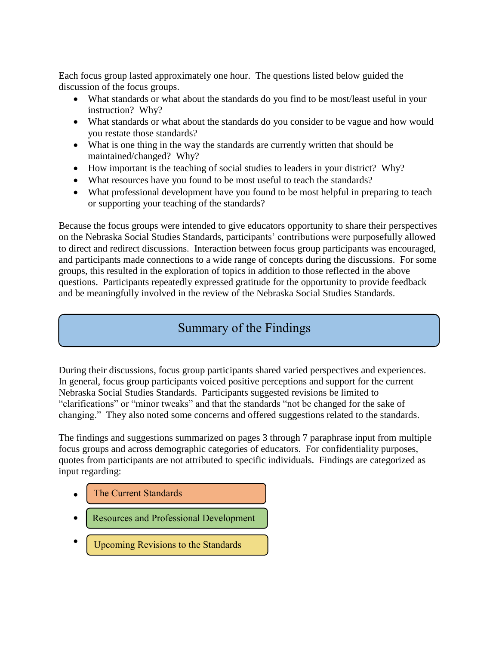Each focus group lasted approximately one hour. The questions listed below guided the discussion of the focus groups.

- What standards or what about the standards do you find to be most/least useful in your instruction? Why?
- What standards or what about the standards do you consider to be vague and how would you restate those standards?
- What is one thing in the way the standards are currently written that should be maintained/changed? Why?
- How important is the teaching of social studies to leaders in your district? Why?
- What resources have you found to be most useful to teach the standards?
- What professional development have you found to be most helpful in preparing to teach or supporting your teaching of the standards?

Because the focus groups were intended to give educators opportunity to share their perspectives on the Nebraska Social Studies Standards, participants' contributions were purposefully allowed to direct and redirect discussions. Interaction between focus group participants was encouraged, and participants made connections to a wide range of concepts during the discussions. For some groups, this resulted in the exploration of topics in addition to those reflected in the above questions. Participants repeatedly expressed gratitude for the opportunity to provide feedback and be meaningfully involved in the review of the Nebraska Social Studies Standards.

## Summary of the Findings

During their discussions, focus group participants shared varied perspectives and experiences. In general, focus group participants voiced positive perceptions and support for the current Nebraska Social Studies Standards. Participants suggested revisions be limited to "clarifications" or "minor tweaks" and that the standards "not be changed for the sake of changing." They also noted some concerns and offered suggestions related to the standards.

The findings and suggestions summarized on pages 3 through 7 paraphrase input from multiple focus groups and across demographic categories of educators. For confidentiality purposes, quotes from participants are not attributed to specific individuals. Findings are categorized as input regarding:

- $\bullet$ The Current Standards
- $\bullet$ Resources and Professional Development
- $\bullet$ Upcoming Revisions to the Standards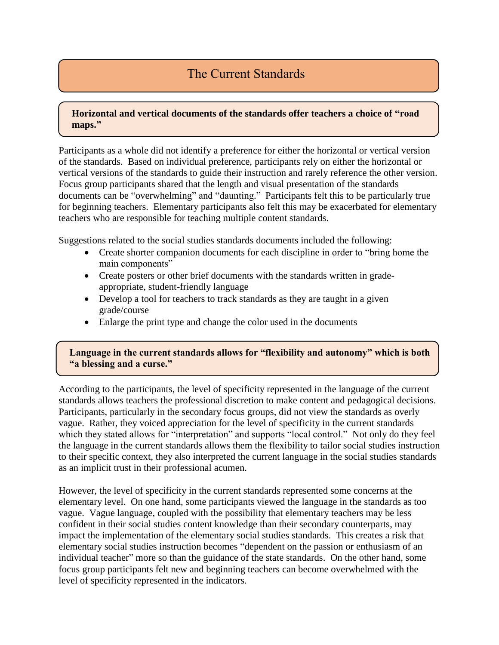### The Current Standards

#### **Horizontal and vertical documents of the standards offer teachers a choice of "road maps."**

Participants as a whole did not identify a preference for either the horizontal or vertical version of the standards. Based on individual preference, participants rely on either the horizontal or vertical versions of the standards to guide their instruction and rarely reference the other version. Focus group participants shared that the length and visual presentation of the standards documents can be "overwhelming" and "daunting." Participants felt this to be particularly true for beginning teachers. Elementary participants also felt this may be exacerbated for elementary teachers who are responsible for teaching multiple content standards.

Suggestions related to the social studies standards documents included the following:

- Create shorter companion documents for each discipline in order to "bring home the main components"
- Create posters or other brief documents with the standards written in gradeappropriate, student-friendly language
- Develop a tool for teachers to track standards as they are taught in a given grade/course
- Enlarge the print type and change the color used in the documents

**."**

#### **Language in the current standards allows for "flexibility and autonomy" which is both "a blessing and a curse."**

According to the participants, the level of specificity represented in the language of the current standards allows teachers the professional discretion to make content and pedagogical decisions. Participants, particularly in the secondary focus groups, did not view the standards as overly vague. Rather, they voiced appreciation for the level of specificity in the current standards which they stated allows for "interpretation" and supports "local control." Not only do they feel the language in the current standards allows them the flexibility to tailor social studies instruction to their specific context, they also interpreted the current language in the social studies standards as an implicit trust in their professional acumen.

However, the level of specificity in the current standards represented some concerns at the elementary level. On one hand, some participants viewed the language in the standards as too vague. Vague language, coupled with the possibility that elementary teachers may be less confident in their social studies content knowledge than their secondary counterparts, may impact the implementation of the elementary social studies standards. This creates a risk that elementary social studies instruction becomes "dependent on the passion or enthusiasm of an individual teacher" more so than the guidance of the state standards. On the other hand, some focus group participants felt new and beginning teachers can become overwhelmed with the level of specificity represented in the indicators.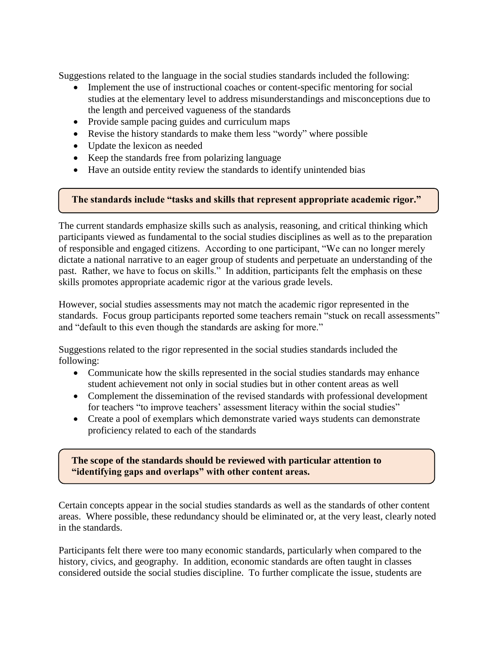Suggestions related to the language in the social studies standards included the following:

- Implement the use of instructional coaches or content-specific mentoring for social studies at the elementary level to address misunderstandings and misconceptions due to the length and perceived vagueness of the standards
- Provide sample pacing guides and curriculum maps
- Revise the history standards to make them less "wordy" where possible
- Update the lexicon as needed
- Keep the standards free from polarizing language
- Have an outside entity review the standards to identify unintended bias

#### **The standards include "tasks and skills that represent appropriate academic rigor."**

The current standards emphasize skills such as analysis, reasoning, and critical thinking which participants viewed as fundamental to the social studies disciplines as well as to the preparation of responsible and engaged citizens. According to one participant, "We can no longer merely dictate a national narrative to an eager group of students and perpetuate an understanding of the past. Rather, we have to focus on skills." In addition, participants felt the emphasis on these skills promotes appropriate academic rigor at the various grade levels.

However, social studies assessments may not match the academic rigor represented in the standards. Focus group participants reported some teachers remain "stuck on recall assessments" and "default to this even though the standards are asking for more."

Suggestions related to the rigor represented in the social studies standards included the following:

- Communicate how the skills represented in the social studies standards may enhance student achievement not only in social studies but in other content areas as well
- Complement the dissemination of the revised standards with professional development for teachers "to improve teachers' assessment literacy within the social studies"
- Create a pool of exemplars which demonstrate varied ways students can demonstrate proficiency related to each of the standards

**The scope of the standards should be reviewed with particular attention to "identifying gaps and overlaps" with other content areas.**

**The scope of the standards should be reviewed with particular attention to** 

Certain concepts appear in the social studies standards as well as the standards of other content areas. Where possible, these redundancy should be eliminated or, at the very least, clearly noted in the standards.

Participants felt there were too many economic standards, particularly when compared to the history, civics, and geography. In addition, economic standards are often taught in classes considered outside the social studies discipline. To further complicate the issue, students are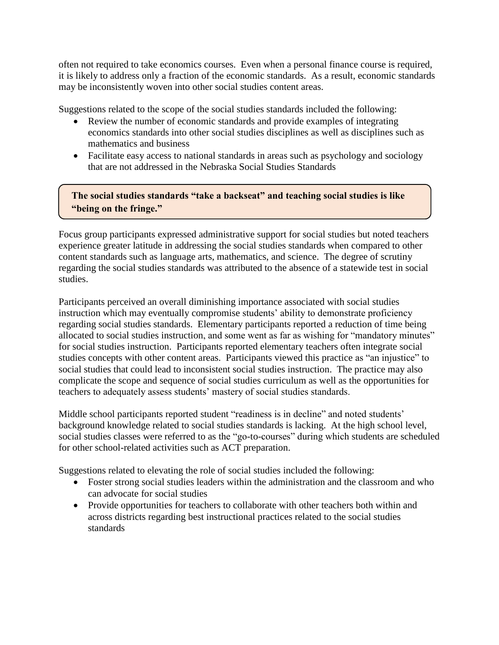often not required to take economics courses. Even when a personal finance course is required, it is likely to address only a fraction of the economic standards. As a result, economic standards may be inconsistently woven into other social studies content areas.

Suggestions related to the scope of the social studies standards included the following:

- Review the number of economic standards and provide examples of integrating economics standards into other social studies disciplines as well as disciplines such as mathematics and business
- Facilitate easy access to national standards in areas such as psychology and sociology that are not addressed in the Nebraska Social Studies Standards

**The social studies standards "take a backseat" and teaching social studies is like "being on the fringe."**

Focus group participants expressed administrative support for social studies but noted teachers experience greater latitude in addressing the social studies standards when compared to other content standards such as language arts, mathematics, and science. The degree of scrutiny regarding the social studies standards was attributed to the absence of a statewide test in social studies.

Participants perceived an overall diminishing importance associated with social studies instruction which may eventually compromise students' ability to demonstrate proficiency regarding social studies standards. Elementary participants reported a reduction of time being allocated to social studies instruction, and some went as far as wishing for "mandatory minutes" for social studies instruction. Participants reported elementary teachers often integrate social studies concepts with other content areas. Participants viewed this practice as "an injustice" to social studies that could lead to inconsistent social studies instruction. The practice may also complicate the scope and sequence of social studies curriculum as well as the opportunities for teachers to adequately assess students' mastery of social studies standards.

Middle school participants reported student "readiness is in decline" and noted students' background knowledge related to social studies standards is lacking. At the high school level, social studies classes were referred to as the "go-to-courses" during which students are scheduled for other school-related activities such as ACT preparation.

Suggestions related to elevating the role of social studies included the following:

- Foster strong social studies leaders within the administration and the classroom and who can advocate for social studies
- Provide opportunities for teachers to collaborate with other teachers both within and across districts regarding best instructional practices related to the social studies standards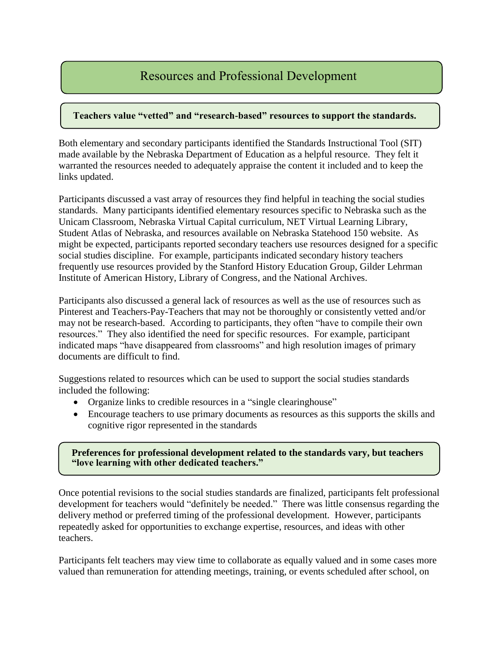### Resources and Professional Development

#### **Teachers value "vetted" and "research-based" resources to support the standards.**

Both elementary and secondary participants identified the Standards Instructional Tool (SIT) made available by the Nebraska Department of Education as a helpful resource. They felt it warranted the resources needed to adequately appraise the content it included and to keep the links updated.

Participants discussed a vast array of resources they find helpful in teaching the social studies standards. Many participants identified elementary resources specific to Nebraska such as the Unicam Classroom, Nebraska Virtual Capital curriculum, NET Virtual Learning Library, Student Atlas of Nebraska, and resources available on Nebraska Statehood 150 website. As might be expected, participants reported secondary teachers use resources designed for a specific social studies discipline. For example, participants indicated secondary history teachers frequently use resources provided by the Stanford History Education Group, Gilder Lehrman Institute of American History, Library of Congress, and the National Archives.

Participants also discussed a general lack of resources as well as the use of resources such as Pinterest and Teachers-Pay-Teachers that may not be thoroughly or consistently vetted and/or may not be research-based. According to participants, they often "have to compile their own resources." They also identified the need for specific resources. For example, participant indicated maps "have disappeared from classrooms" and high resolution images of primary documents are difficult to find.

Suggestions related to resources which can be used to support the social studies standards included the following:

- Organize links to credible resources in a "single clearinghouse"
- Encourage teachers to use primary documents as resources as this supports the skills and cognitive rigor represented in the standards

**Preferences for professional development related to the standards vary, but teachers "love learning with other dedicated teachers."**

Once potential revisions to the social studies standards are finalized, participants felt professional development for teachers would "definitely be needed." There was little consensus regarding the delivery method or preferred timing of the professional development. However, participants repeatedly asked for opportunities to exchange expertise, resources, and ideas with other teachers.

Participants felt teachers may view time to collaborate as equally valued and in some cases more valued than remuneration for attending meetings, training, or events scheduled after school, on